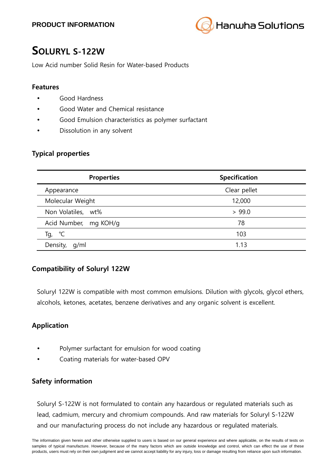

# **SOLURYL S-122W**

Low Acid number Solid Resin for Water-based Products

#### **Features**

- Good Hardness
- Good Water and Chemical resistance
- Good Emulsion characteristics as polymer surfactant
- Dissolution in any solvent

#### **Typical properties**

| <b>Properties</b>     | <b>Specification</b> |
|-----------------------|----------------------|
| Appearance            | Clear pellet         |
| Molecular Weight      | 12,000               |
| Non Volatiles, wt%    | > 99.0               |
| Acid Number, mg KOH/g | 78                   |
| $^{\circ}$ C<br>Тg,   | 103                  |
| q/ml<br>Density,      | 1.13                 |

# **Compatibility of Soluryl 122W**

Soluryl 122W is compatible with most common emulsions. Dilution with glycols, glycol ethers, alcohols, ketones, acetates, benzene derivatives and any organic solvent is excellent.

# **Application**

- Polymer surfactant for emulsion for wood coating
- Coating materials for water-based OPV

#### **Safety information**

Soluryl S-122W is not formulated to contain any hazardous or regulated materials such as lead, cadmium, mercury and chromium compounds. And raw materials for Soluryl S-122W and our manufacturing process do not include any hazardous or regulated materials.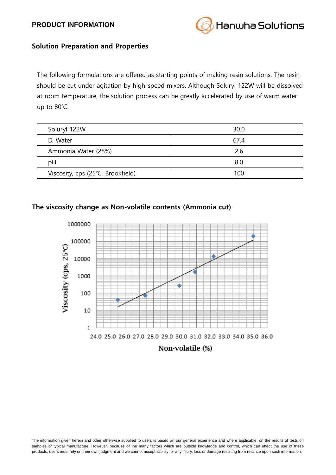#### **PRODUCT INFORMATION**



#### **Solution Preparation and Properties**

The following formulations are offered as starting points of making resin solutions. The resin should be cut under agitation by high-speed mixers. Although Soluryl 122W will be dissolved at room temperature, the solution process can be greatly accelerated by use of warm water up to 80℃.

| Soluryl 122W                      | 30.0 |
|-----------------------------------|------|
| D. Water                          | 67.4 |
| Ammonia Water (28%)               | 2.6  |
| pH                                | 8.0  |
| Viscosity, cps (25°C, Brookfield) | 100  |

### **The viscosity change as Non-volatile contents (Ammonia cut)**



The information given herein and other otherwise supplied to users is based on our general experience and where applicable, on the results of tests on samples of typical manufacture. However, because of the many factors which are outside knowledge and control, which can effect the use of these products, users must rely on their own judgment and we cannot accept liability for any injury, loss or damage resulting from reliance upon such information.